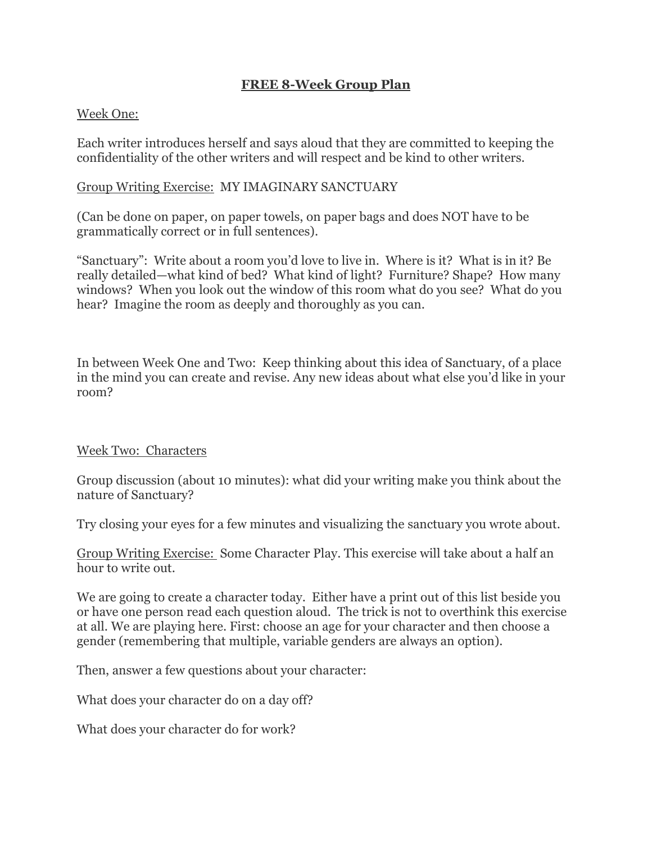### **FREE 8-Week Group Plan**

### Week One:

Each writer introduces herself and says aloud that they are committed to keeping the confidentiality of the other writers and will respect and be kind to other writers.

### Group Writing Exercise: MY IMAGINARY SANCTUARY

(Can be done on paper, on paper towels, on paper bags and does NOT have to be grammatically correct or in full sentences).

"Sanctuary": Write about a room you'd love to live in. Where is it? What is in it? Be really detailed—what kind of bed? What kind of light? Furniture? Shape? How many windows? When you look out the window of this room what do you see? What do you hear? Imagine the room as deeply and thoroughly as you can.

In between Week One and Two: Keep thinking about this idea of Sanctuary, of a place in the mind you can create and revise. Any new ideas about what else you'd like in your room?

### Week Two: Characters

Group discussion (about 10 minutes): what did your writing make you think about the nature of Sanctuary?

Try closing your eyes for a few minutes and visualizing the sanctuary you wrote about.

Group Writing Exercise: Some Character Play. This exercise will take about a half an hour to write out.

We are going to create a character today. Either have a print out of this list beside you or have one person read each question aloud. The trick is not to overthink this exercise at all. We are playing here. First: choose an age for your character and then choose a gender (remembering that multiple, variable genders are always an option).

Then, answer a few questions about your character:

What does your character do on a day off?

What does your character do for work?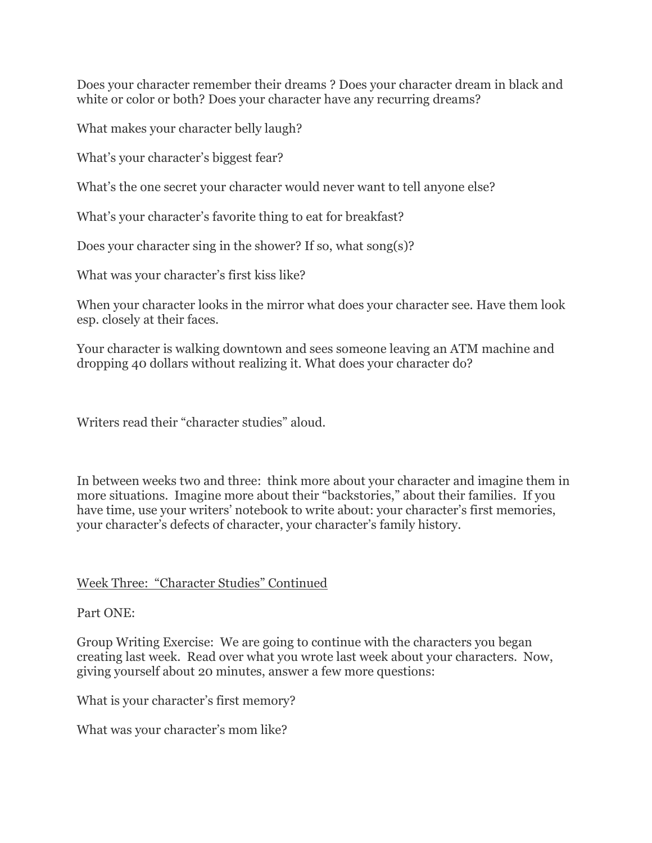Does your character remember their dreams ? Does your character dream in black and white or color or both? Does your character have any recurring dreams?

What makes your character belly laugh?

What's your character's biggest fear?

What's the one secret your character would never want to tell anyone else?

What's your character's favorite thing to eat for breakfast?

Does your character sing in the shower? If so, what song(s)?

What was your character's first kiss like?

When your character looks in the mirror what does your character see. Have them look esp. closely at their faces.

Your character is walking downtown and sees someone leaving an ATM machine and dropping 40 dollars without realizing it. What does your character do?

Writers read their "character studies" aloud.

In between weeks two and three: think more about your character and imagine them in more situations. Imagine more about their "backstories," about their families. If you have time, use your writers' notebook to write about: your character's first memories, your character's defects of character, your character's family history.

# Week Three: "Character Studies" Continued

# Part ONE:

Group Writing Exercise: We are going to continue with the characters you began creating last week. Read over what you wrote last week about your characters. Now, giving yourself about 20 minutes, answer a few more questions:

What is your character's first memory?

What was your character's mom like?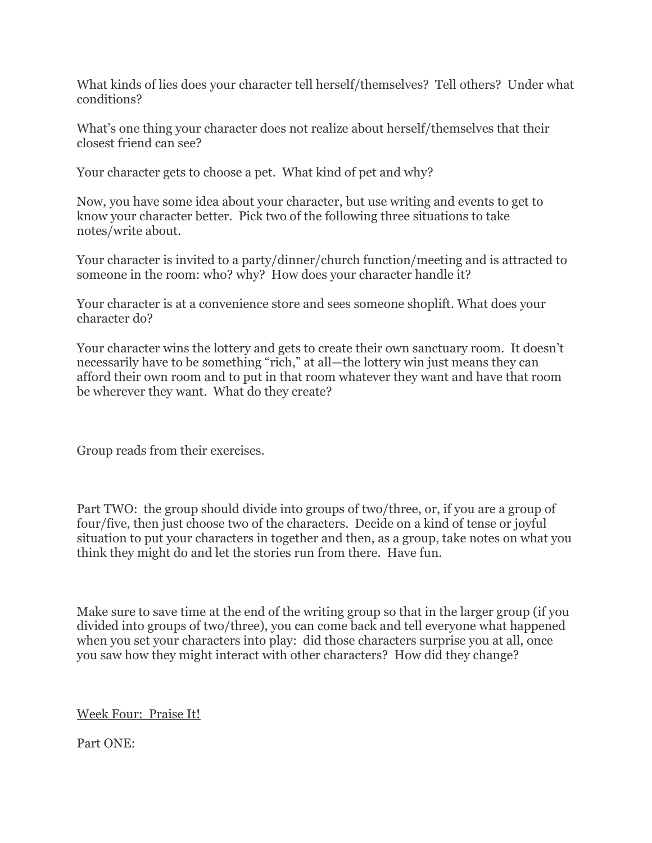What kinds of lies does your character tell herself/themselves? Tell others? Under what conditions?

What's one thing your character does not realize about herself/themselves that their closest friend can see?

Your character gets to choose a pet. What kind of pet and why?

Now, you have some idea about your character, but use writing and events to get to know your character better. Pick two of the following three situations to take notes/write about.

Your character is invited to a party/dinner/church function/meeting and is attracted to someone in the room: who? why? How does your character handle it?

Your character is at a convenience store and sees someone shoplift. What does your character do?

Your character wins the lottery and gets to create their own sanctuary room. It doesn't necessarily have to be something "rich," at all—the lottery win just means they can afford their own room and to put in that room whatever they want and have that room be wherever they want. What do they create?

Group reads from their exercises.

Part TWO: the group should divide into groups of two/three, or, if you are a group of four/five, then just choose two of the characters. Decide on a kind of tense or joyful situation to put your characters in together and then, as a group, take notes on what you think they might do and let the stories run from there. Have fun.

Make sure to save time at the end of the writing group so that in the larger group (if you divided into groups of two/three), you can come back and tell everyone what happened when you set your characters into play: did those characters surprise you at all, once you saw how they might interact with other characters? How did they change?

Week Four: Praise It!

Part ONE: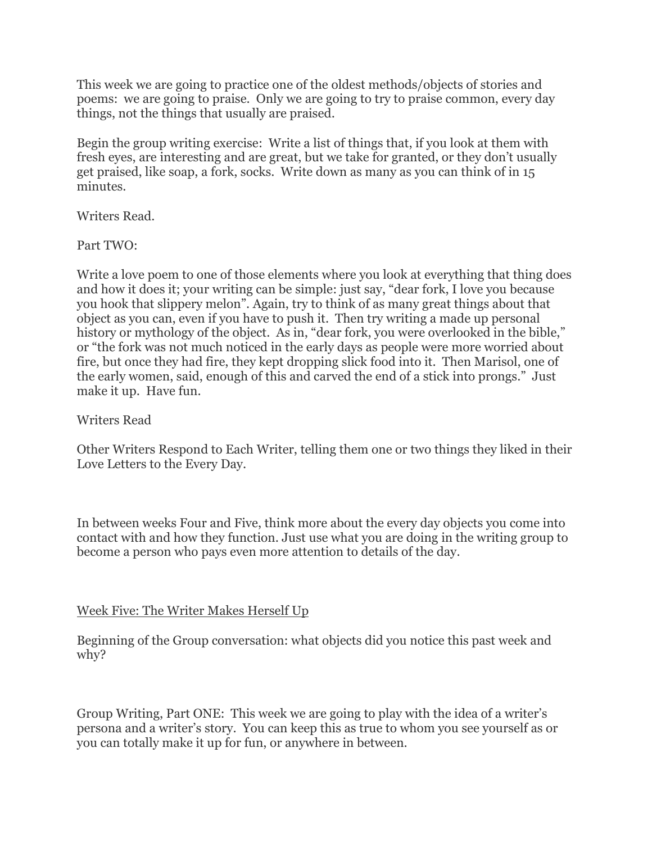This week we are going to practice one of the oldest methods/objects of stories and poems: we are going to praise. Only we are going to try to praise common, every day things, not the things that usually are praised.

Begin the group writing exercise: Write a list of things that, if you look at them with fresh eyes, are interesting and are great, but we take for granted, or they don't usually get praised, like soap, a fork, socks. Write down as many as you can think of in 15 minutes.

Writers Read.

Part TWO:

Write a love poem to one of those elements where you look at everything that thing does and how it does it; your writing can be simple: just say, "dear fork, I love you because you hook that slippery melon". Again, try to think of as many great things about that object as you can, even if you have to push it. Then try writing a made up personal history or mythology of the object. As in, "dear fork, you were overlooked in the bible," or "the fork was not much noticed in the early days as people were more worried about fire, but once they had fire, they kept dropping slick food into it. Then Marisol, one of the early women, said, enough of this and carved the end of a stick into prongs." Just make it up. Have fun.

## Writers Read

Other Writers Respond to Each Writer, telling them one or two things they liked in their Love Letters to the Every Day.

In between weeks Four and Five, think more about the every day objects you come into contact with and how they function. Just use what you are doing in the writing group to become a person who pays even more attention to details of the day.

# Week Five: The Writer Makes Herself Up

Beginning of the Group conversation: what objects did you notice this past week and why?

Group Writing, Part ONE: This week we are going to play with the idea of a writer's persona and a writer's story. You can keep this as true to whom you see yourself as or you can totally make it up for fun, or anywhere in between.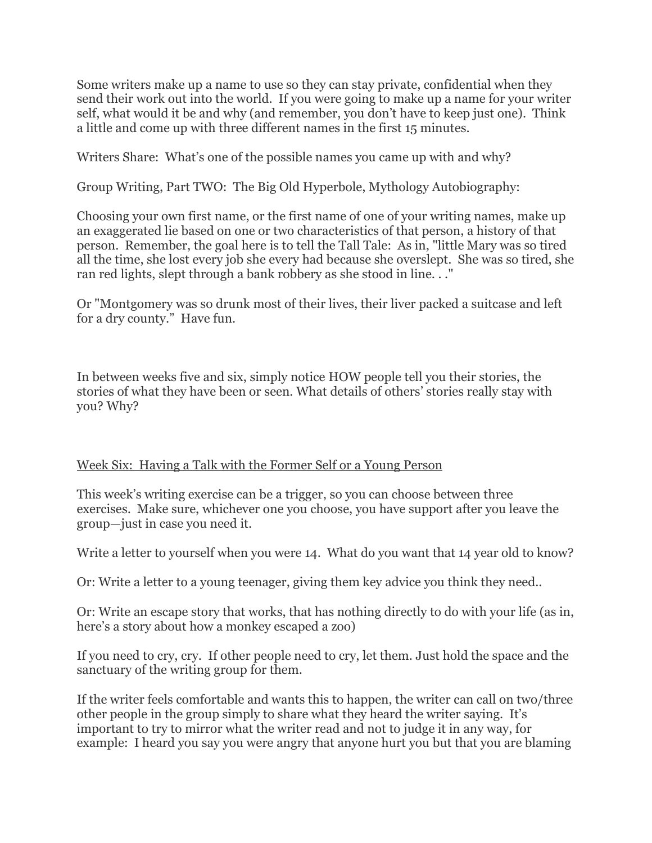Some writers make up a name to use so they can stay private, confidential when they send their work out into the world. If you were going to make up a name for your writer self, what would it be and why (and remember, you don't have to keep just one). Think a little and come up with three different names in the first 15 minutes.

Writers Share: What's one of the possible names you came up with and why?

Group Writing, Part TWO: The Big Old Hyperbole, Mythology Autobiography:

Choosing your own first name, or the first name of one of your writing names, make up an exaggerated lie based on one or two characteristics of that person, a history of that person. Remember, the goal here is to tell the Tall Tale: As in, "little Mary was so tired all the time, she lost every job she every had because she overslept. She was so tired, she ran red lights, slept through a bank robbery as she stood in line. . ."

Or "Montgomery was so drunk most of their lives, their liver packed a suitcase and left for a dry county." Have fun.

In between weeks five and six, simply notice HOW people tell you their stories, the stories of what they have been or seen. What details of others' stories really stay with you? Why?

### Week Six: Having a Talk with the Former Self or a Young Person

This week's writing exercise can be a trigger, so you can choose between three exercises. Make sure, whichever one you choose, you have support after you leave the group—just in case you need it.

Write a letter to yourself when you were 14. What do you want that 14 year old to know?

Or: Write a letter to a young teenager, giving them key advice you think they need..

Or: Write an escape story that works, that has nothing directly to do with your life (as in, here's a story about how a monkey escaped a zoo)

If you need to cry, cry. If other people need to cry, let them. Just hold the space and the sanctuary of the writing group for them.

If the writer feels comfortable and wants this to happen, the writer can call on two/three other people in the group simply to share what they heard the writer saying. It's important to try to mirror what the writer read and not to judge it in any way, for example: I heard you say you were angry that anyone hurt you but that you are blaming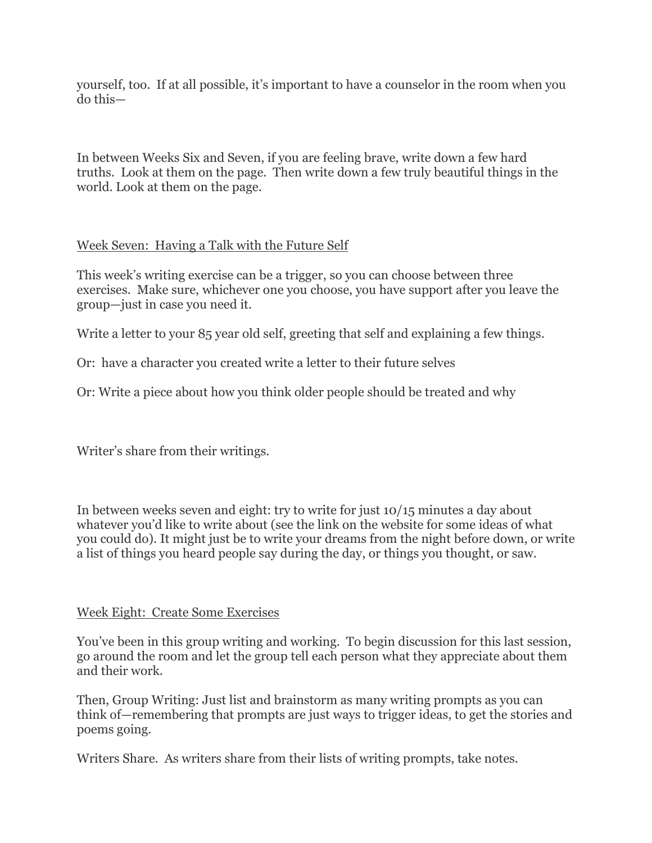yourself, too. If at all possible, it's important to have a counselor in the room when you do this—

In between Weeks Six and Seven, if you are feeling brave, write down a few hard truths. Look at them on the page. Then write down a few truly beautiful things in the world. Look at them on the page.

# Week Seven: Having a Talk with the Future Self

This week's writing exercise can be a trigger, so you can choose between three exercises. Make sure, whichever one you choose, you have support after you leave the group—just in case you need it.

Write a letter to your 85 year old self, greeting that self and explaining a few things.

Or: have a character you created write a letter to their future selves

Or: Write a piece about how you think older people should be treated and why

Writer's share from their writings.

In between weeks seven and eight: try to write for just 10/15 minutes a day about whatever you'd like to write about (see the link on the website for some ideas of what you could do). It might just be to write your dreams from the night before down, or write a list of things you heard people say during the day, or things you thought, or saw.

### Week Eight: Create Some Exercises

You've been in this group writing and working. To begin discussion for this last session, go around the room and let the group tell each person what they appreciate about them and their work.

Then, Group Writing: Just list and brainstorm as many writing prompts as you can think of—remembering that prompts are just ways to trigger ideas, to get the stories and poems going.

Writers Share. As writers share from their lists of writing prompts, take notes.